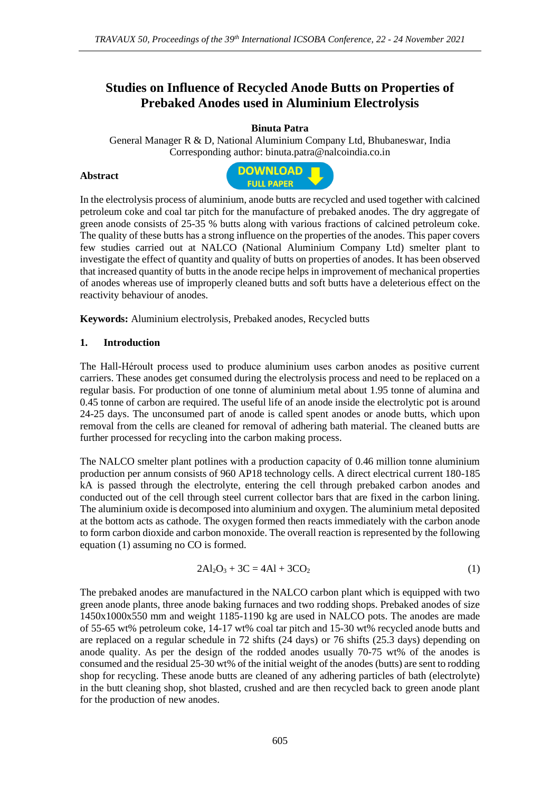# **Studies on Influence of Recycled Anode Butts on Properties of Prebaked Anodes used in Aluminium Electrolysis**

# **Binuta Patra**

General Manager R & D, National Aluminium Company Ltd, Bhubaneswar, India Corresponding author: binuta.patra@nalcoindia.co.in

#### **Abstract**



In the electrolysis process of aluminium, anode butts are recycled and used together with calcined petroleum coke and coal tar pitch for the manufacture of prebaked anodes. The dry aggregate of green anode consists of 25-35 % butts along with various fractions of calcined petroleum coke. The quality of these butts has a strong influence on the properties of the anodes. This paper covers few studies carried out at NALCO (National Aluminium Company Ltd) smelter plant to investigate the effect of quantity and quality of butts on properties of anodes. It has been observed that increased quantity of butts in the anode recipe helps in improvement of mechanical properties of anodes whereas use of improperly cleaned butts and soft butts have a deleterious effect on the reactivity behaviour of anodes.

**Keywords:** Aluminium electrolysis, Prebaked anodes, Recycled butts

# **1. Introduction**

The Hall-Héroult process used to produce aluminium uses carbon anodes as positive current carriers. These anodes get consumed during the electrolysis process and need to be replaced on a regular basis. For production of one tonne of aluminium metal about 1.95 tonne of alumina and 0.45 tonne of carbon are required. The useful life of an anode inside the electrolytic pot is around 24-25 days. The unconsumed part of anode is called spent anodes or anode butts, which upon removal from the cells are cleaned for removal of adhering bath material. The cleaned butts are further processed for recycling into the carbon making process.

The NALCO smelter plant potlines with a production capacity of 0.46 million tonne aluminium production per annum consists of 960 AP18 technology cells. A direct electrical current 180-185 kA is passed through the electrolyte, entering the cell through prebaked carbon anodes and conducted out of the cell through steel current collector bars that are fixed in the carbon lining. The aluminium oxide is decomposed into aluminium and oxygen. The aluminium metal deposited at the bottom acts as cathode. The oxygen formed then reacts immediately with the carbon anode to form carbon dioxide and carbon monoxide. The overall reaction is represented by the following equation (1) assuming no CO is formed.

$$
2Al_2O_3 + 3C = 4Al + 3CO_2
$$
 (1)

The prebaked anodes are manufactured in the NALCO carbon plant which is equipped with two green anode plants, three anode baking furnaces and two rodding shops. Prebaked anodes of size 1450x1000x550 mm and weight 1185-1190 kg are used in NALCO pots. The anodes are made of 55-65 wt% petroleum coke, 14-17 wt% coal tar pitch and 15-30 wt% recycled anode butts and are replaced on a regular schedule in 72 shifts  $(24 \text{ days})$  or 76 shifts  $(25.3 \text{ days})$  depending on anode quality. As per the design of the rodded anodes usually 70-75 wt% of the anodes is consumed and the residual 25-30 wt% of the initial weight of the anodes (butts) are sent to rodding shop for recycling. These anode butts are cleaned of any adhering particles of bath (electrolyte) in the butt cleaning shop, shot blasted, crushed and are then recycled back to green anode plant for the production of new anodes.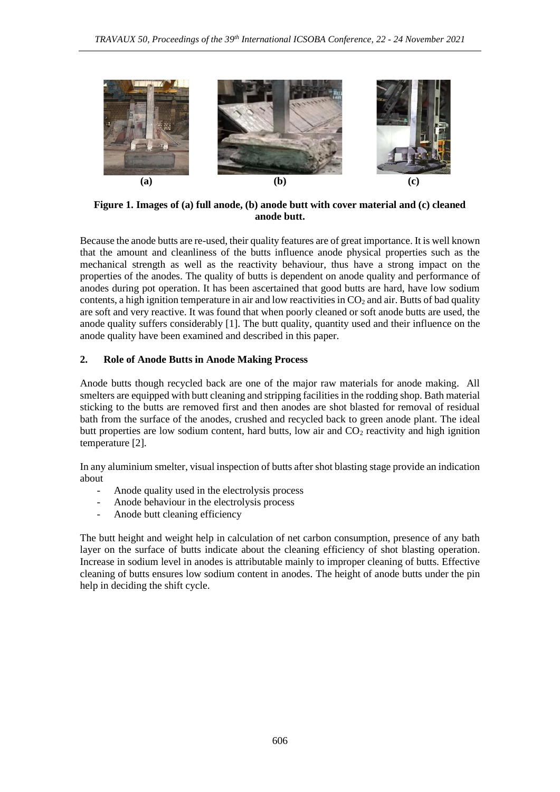

**Figure 1. Images of (a) full anode, (b) anode butt with cover material and (c) cleaned anode butt.**

Because the anode butts are re-used, their quality features are of great importance. It is well known that the amount and cleanliness of the butts influence anode physical properties such as the mechanical strength as well as the reactivity behaviour, thus have a strong impact on the properties of the anodes. The quality of butts is dependent on anode quality and performance of anodes during pot operation. It has been ascertained that good butts are hard, have low sodium contents, a high ignition temperature in air and low reactivities in  $CO<sub>2</sub>$  and air. Butts of bad quality are soft and very reactive. It was found that when poorly cleaned or soft anode butts are used, the anode quality suffers considerably [1]. The butt quality, quantity used and their influence on the anode quality have been examined and described in this paper.

#### **2. Role of Anode Butts in Anode Making Process**

Anode butts though recycled back are one of the major raw materials for anode making. All smelters are equipped with butt cleaning and stripping facilities in the rodding shop. Bath material sticking to the butts are removed first and then anodes are shot blasted for removal of residual bath from the surface of the anodes, crushed and recycled back to green anode plant. The ideal butt properties are low sodium content, hard butts, low air and  $CO<sub>2</sub>$  reactivity and high ignition temperature [2].

In any aluminium smelter, visual inspection of butts after shot blasting stage provide an indication about

- Anode quality used in the electrolysis process
- Anode behaviour in the electrolysis process
- Anode butt cleaning efficiency

The butt height and weight help in calculation of net carbon consumption, presence of any bath layer on the surface of butts indicate about the cleaning efficiency of shot blasting operation. Increase in sodium level in anodes is attributable mainly to improper cleaning of butts. Effective cleaning of butts ensures low sodium content in anodes. The height of anode butts under the pin help in deciding the shift cycle.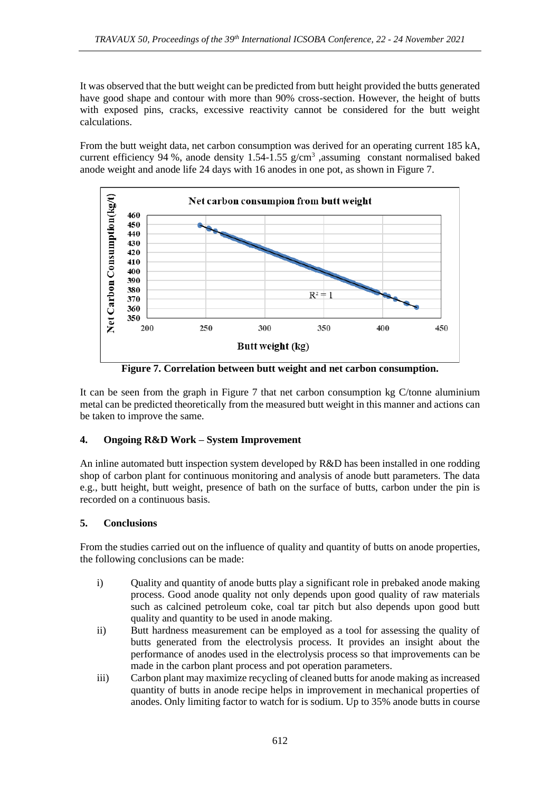It was observed that the butt weight can be predicted from butt height provided the butts generated have good shape and contour with more than 90% cross-section. However, the height of butts with exposed pins, cracks, excessive reactivity cannot be considered for the butt weight calculations.

From the butt weight data, net carbon consumption was derived for an operating current 185 kA, current efficiency 94 %, anode density  $1.54$ -1.55 g/cm<sup>3</sup>, assuming constant normalised baked anode weight and anode life 24 days with 16 anodes in one pot, as shown in Figure 7.



**Figure 7. Correlation between butt weight and net carbon consumption.**

It can be seen from the graph in Figure 7 that net carbon consumption kg C/tonne aluminium metal can be predicted theoretically from the measured butt weight in this manner and actions can be taken to improve the same.

# **4. Ongoing R&D Work – System Improvement**

An inline automated butt inspection system developed by R&D has been installed in one rodding shop of carbon plant for continuous monitoring and analysis of anode butt parameters. The data e.g., butt height, butt weight, presence of bath on the surface of butts, carbon under the pin is recorded on a continuous basis.

# **5. Conclusions**

From the studies carried out on the influence of quality and quantity of butts on anode properties, the following conclusions can be made:

- i) Quality and quantity of anode butts play a significant role in prebaked anode making process. Good anode quality not only depends upon good quality of raw materials such as calcined petroleum coke, coal tar pitch but also depends upon good butt quality and quantity to be used in anode making.
- ii) Butt hardness measurement can be employed as a tool for assessing the quality of butts generated from the electrolysis process. It provides an insight about the performance of anodes used in the electrolysis process so that improvements can be made in the carbon plant process and pot operation parameters.
- iii) Carbon plant may maximize recycling of cleaned butts for anode making as increased quantity of butts in anode recipe helps in improvement in mechanical properties of anodes. Only limiting factor to watch for is sodium. Up to 35% anode butts in course